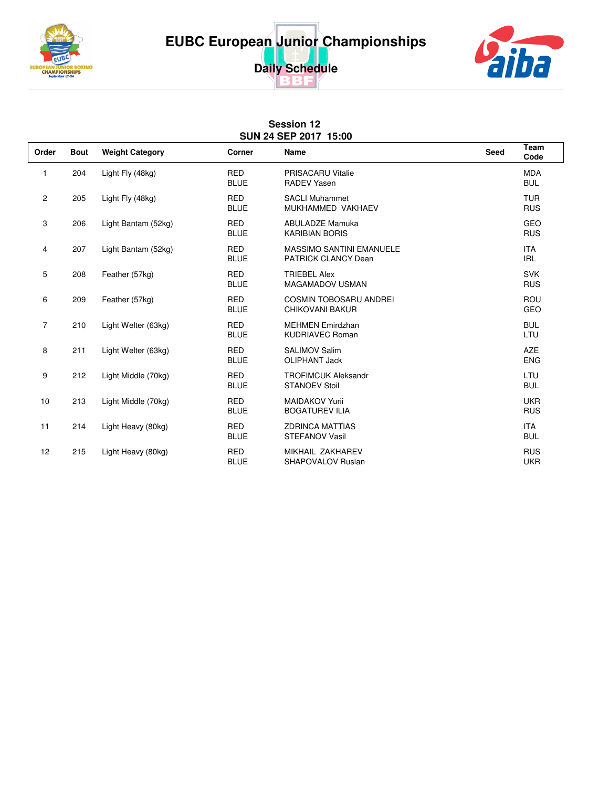





## **Session 12 SUN 24 SEP 2017 15:00**

| Order          | <b>Bout</b> | <b>Weight Category</b> | <b>Corner</b>             | <b>Name</b>                                                   | <b>Seed</b> | <b>Team</b><br>Code      |
|----------------|-------------|------------------------|---------------------------|---------------------------------------------------------------|-------------|--------------------------|
| 1              | 204         | Light Fly (48kg)       | <b>RED</b><br><b>BLUE</b> | <b>PRISACARU Vitalie</b><br><b>RADEV Yasen</b>                |             | <b>MDA</b><br><b>BUL</b> |
| $\mathbf{2}$   | 205         | Light Fly (48kg)       | <b>RED</b><br><b>BLUE</b> | <b>SACLI Muhammet</b><br>MUKHAMMED VAKHAEV                    |             | <b>TUR</b><br><b>RUS</b> |
| 3              | 206         | Light Bantam (52kg)    | <b>RED</b><br><b>BLUE</b> | <b>ABULADZE Mamuka</b><br><b>KARIBIAN BORIS</b>               |             | GEO<br><b>RUS</b>        |
| 4              | 207         | Light Bantam (52kg)    | <b>RED</b><br><b>BLUE</b> | <b>MASSIMO SANTINI EMANUELE</b><br><b>PATRICK CLANCY Dean</b> |             | <b>ITA</b><br><b>IRL</b> |
| 5              | 208         | Feather (57kg)         | <b>RED</b><br><b>BLUE</b> | <b>TRIEBEL Alex</b><br><b>MAGAMADOV USMAN</b>                 |             | <b>SVK</b><br><b>RUS</b> |
| 6              | 209         | Feather (57kg)         | <b>RED</b><br><b>BLUE</b> | <b>COSMIN TOBOSARU ANDREI</b><br>CHIKOVANI BAKUR              |             | <b>ROU</b><br>GEO        |
| $\overline{7}$ | 210         | Light Welter (63kg)    | <b>RED</b><br><b>BLUE</b> | <b>MEHMEN Emirdzhan</b><br><b>KUDRIAVEC Roman</b>             |             | <b>BUL</b><br>LTU        |
| 8              | 211         | Light Welter (63kg)    | <b>RED</b><br><b>BLUE</b> | <b>SALIMOV Salim</b><br><b>OLIPHANT Jack</b>                  |             | <b>AZE</b><br><b>ENG</b> |
| 9              | 212         | Light Middle (70kg)    | <b>RED</b><br><b>BLUE</b> | <b>TROFIMCUK Aleksandr</b><br><b>STANOEV Stoil</b>            |             | LTU<br><b>BUL</b>        |
| 10             | 213         | Light Middle (70kg)    | <b>RED</b><br><b>BLUE</b> | <b>MAIDAKOV Yurii</b><br><b>BOGATUREV ILIA</b>                |             | <b>UKR</b><br><b>RUS</b> |
| 11             | 214         | Light Heavy (80kg)     | <b>RED</b><br><b>BLUE</b> | <b>ZDRINCA MATTIAS</b><br><b>STEFANOV Vasil</b>               |             | <b>ITA</b><br><b>BUL</b> |
| 12             | 215         | Light Heavy (80kg)     | <b>RED</b><br><b>BLUE</b> | MIKHAIL ZAKHAREV<br><b>SHAPOVALOV Ruslan</b>                  |             | <b>RUS</b><br><b>UKR</b> |